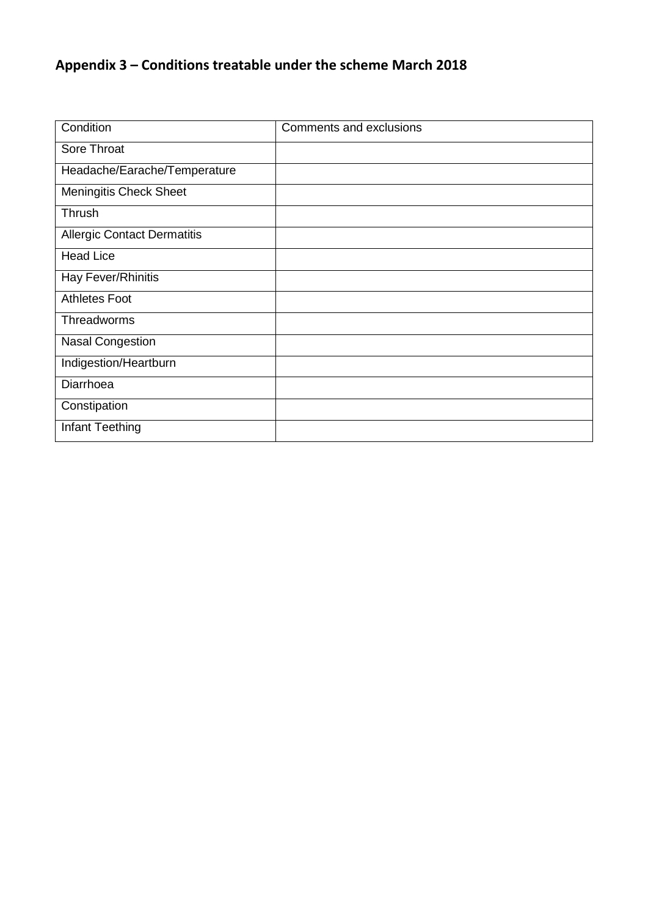## **Appendix 3 – Conditions treatable under the scheme March 2018**

| Condition                          | Comments and exclusions |
|------------------------------------|-------------------------|
| Sore Throat                        |                         |
| Headache/Earache/Temperature       |                         |
| <b>Meningitis Check Sheet</b>      |                         |
| Thrush                             |                         |
| <b>Allergic Contact Dermatitis</b> |                         |
| <b>Head Lice</b>                   |                         |
| Hay Fever/Rhinitis                 |                         |
| <b>Athletes Foot</b>               |                         |
| Threadworms                        |                         |
| <b>Nasal Congestion</b>            |                         |
| Indigestion/Heartburn              |                         |
| Diarrhoea                          |                         |
| Constipation                       |                         |
| Infant Teething                    |                         |